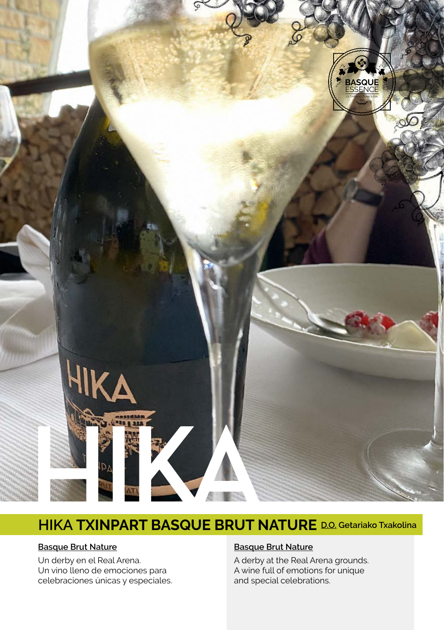

# **HIKA TXINPART BASQUE BRUT NATURE D.O. Getariako Txakolina**

#### **Basque Brut Nature**

Un derby en el Real Arena. Un vino lleno de emociones para celebraciones únicas y especiales.

#### **Basque Brut Nature**

A derby at the Real Arena grounds. A wine full of emotions for unique and special celebrations.